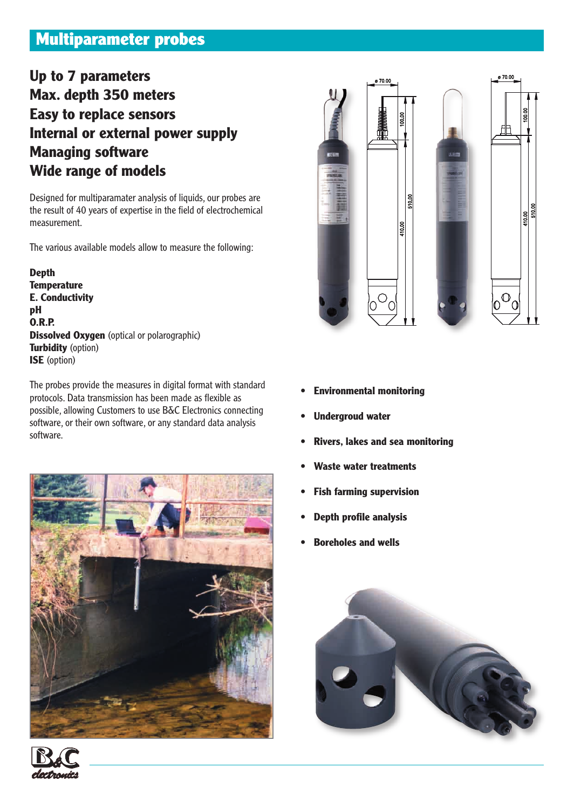# **Multiparameter probes**

# **Up to 7 parameters Max. depth 350 meters Easy to replace sensors Internal or external power supply Managing software Wide range of models**

Designed for multiparamater analysis of liquids, our probes are the result of 40 years of expertise in the field of electrochemical measurement.

The various available models allow to measure the following:

**Depth Temperature E. Conductivity pH O.R.P. Dissolved Oxygen** (optical or polarographic) **Turbidity** (option) **ISE** (option)

The probes provide the measures in digital format with standard protocols. Data transmission has been made as flexible as possible, allowing Customers to use B&C Electronics connecting software, or their own software, or any standard data analysis software.





- **Environmental monitoring**
- **Undergroud water**
- **Rivers, lakes and sea monitoring**
- **Waste water treatments**
- **Fish farming supervision**
- **Depth profile analysis**
- **Boreholes and wells**



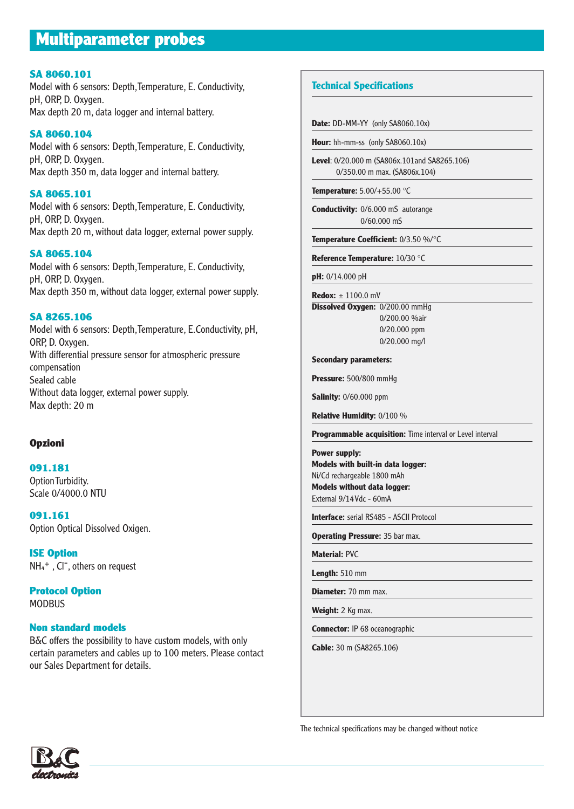# **Multiparameter probes**

#### **SA 8060.101**

Model with 6 sensors: Depth, Temperature, E. Conductivity, pH, ORP, D. Oxygen. Max depth 20 m, data logger and internal battery.

**SA 8060.104** Model with 6 sensors: Depth, Temperature, E. Conductivity, pH, ORP, D. Oxygen. Max depth 350 m, data logger and internal battery.

#### **SA 8065.101**

Model with 6 sensors: Depth, Temperature, E. Conductivity, pH, ORP, D. Oxygen. Max depth 20 m, without data logger, external power supply.

#### **SA 8065.104**

Model with 6 sensors: Depth, Temperature, E. Conductivity, pH, ORP, D. Oxygen. Max depth 350 m, without data logger, external power supply.

#### **SA 8265.106**

Model with 6 sensors: Depth, Temperature, E.Conductivity, pH, ORP, D. Oxygen. With differential pressure sensor for atmospheric pressure compensation Sealed cable Without data logger, external power supply. Max depth: 20 m

#### **Opzioni**

**091.181** Option Turbidity. Scale 0/4000.0 NTU

**091.161**  Option Optical Dissolved Oxigen.

**ISE Option**  $NH_4^+$  ,  $Cl^-$ , others on request

**Protocol Option**  MODBUS

#### **Non standard models**

B&C offers the possibility to have custom models, with only certain parameters and cables up to 100 meters. Please contact our Sales Department for details.

## **Technical Specifications**

**Date: DD-MM-YY (only SA8060.10x)** 

**Hour:** hh-mm-ss (only SA8060.10x)

**Level**: 0/20.000 m (SA806x.101and SA8265.106) 0/350.00 m max. (SA806x.104)

**Temperature:** 5.00/+55.00 °C

**Conductivity:** 0/6.000 mS autorange 0/60.000 mS

**Temperature Coefficient:** 0/3.50 %/°C

**Reference Temperature:** 10/30 °C

**pH:** 0/14.000 pH

**Redox:** ± 1100.0 mV

**Dissolved Oxygen:** 0/200.00 mmHg 0/200.00 %air 0/20.000 ppm 0/20.000 mg/l

**Secondary parameters:**

**Pressure:** 500/800 mmHg

**Salinity:** 0/60.000 ppm

**Relative Humidity:** 0/100 %

**Programmable acquisition:** Time interval or Level interval

**Power supply: Models with built-in data logger:** Ni/Cd rechargeable 1800 mAh **Models without data logger:**

External 9/14 Vdc - 60mA

**Interface:** serial RS485 - ASCII Protocol

**Operating Pressure: 35 bar max.** 

**Material:** PVC

**Length:** 510 mm

**Diameter:** 70 mm max.

**Weight:** 2 Kg max.

**Connector:** IP 68 oceanographic

**Cable:** 30 m (SA8265.106)

The technical specifications may be changed without notice

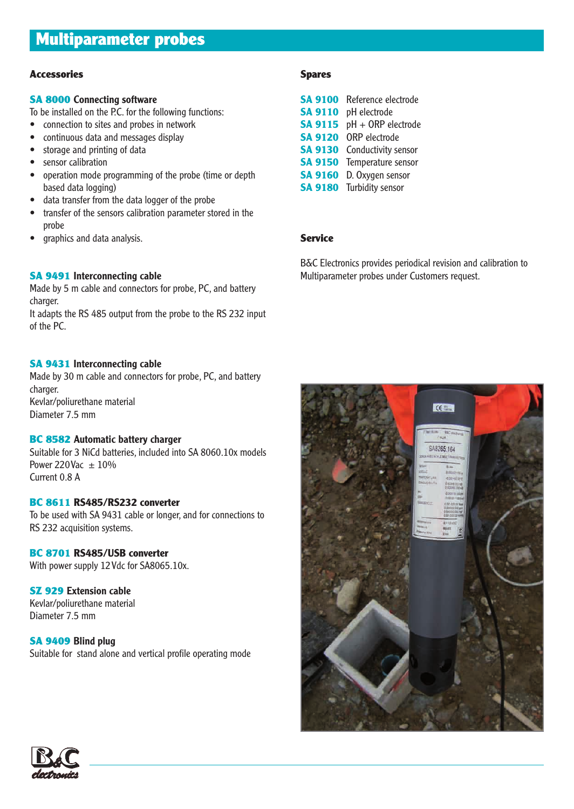## **Accessories**

## **SA 8000 Connecting software**

To be installed on the P.C. for the following functions:

- connection to sites and probes in network
- continuous data and messages display
- storage and printing of data
- sensor calibration
- operation mode programming of the probe (time or depth based data logging)
- data transfer from the data logger of the probe
- transfer of the sensors calibration parameter stored in the probe
- graphics and data analysis.

## **SA 9491 Interconnecting cable**

Made by 5 m cable and connectors for probe, PC, and battery charger.

It adapts the RS 485 output from the probe to the RS 232 input of the PC.

## **SA 9431 Interconnecting cable**

Made by 30 m cable and connectors for probe, PC, and battery charger. Kevlar/poliurethane material Diameter 7.5 mm

## **BC 8582 Automatic battery charger**

Suitable for 3 NiCd batteries, included into SA 8060.10x models Power 220 Vac  $\pm$  10% Current 0.8 A

## **BC 8611 RS485/RS232 converter**

To be used with SA 9431 cable or longer, and for connections to RS 232 acquisition systems.

## **BC 8701 RS485/USB converter**

With power supply 12 Vdc for SA8065.10x.

## **SZ 929 Extension cable**

Kevlar/poliurethane material Diameter 7.5 mm

## **SA 9409 Blind plug**

Suitable for stand alone and vertical profile operating mode

## **Spares**

| <b>SA 9100</b> | Reference electrode |
|----------------|---------------------|
| <b>SA 9110</b> | pH electrode        |
| <b>SA 9115</b> | pH + ORP electrode  |
| <b>SA 9120</b> | ORP electrode       |
| <b>SA 9130</b> | Conductivity sensor |
| <b>SA 9150</b> | Temperature sensor  |
| <b>SA 9160</b> | D. Oxygen sensor    |
| <b>SA 9180</b> | Turbidity sensor    |

## **Service**

B&C Electronics provides periodical revision and calibration to Multiparameter probes under Customers request.